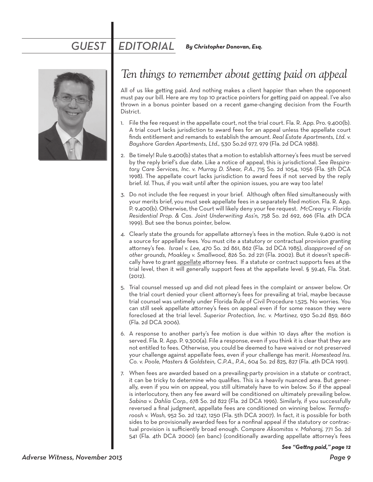## *GUEST EDITORIAL By Christopher Donovan, Esq.*



## *Ten things to remember about getting paid on appeal*

All of us like getting paid. And nothing makes a client happier than when the opponent must pay our bill. Here are my top 10 practice pointers for getting paid on appeal. I've also thrown in a bonus pointer based on a recent game-changing decision from the Fourth District.

- 1. File the fee request in the appellate court, not the trial court. Fla. R. App. Pro. 9.400(b). A trial court lacks jurisdiction to award fees for an appeal unless the appellate court finds entitlement and remands to establish the amount. *Real Estate Apartments, Ltd. v. Bayshore Garden Apartments, Ltd.,* 530 So.2d 977, 979 (Fla. 2d DCA 1988).
- 2. Be timely! Rule 9.400(b) states that a motion to establish attorney's fees must be served by the reply brief's due date. Like a notice of appeal, this is jurisdictional. See *Respiratory Care Services, Inc. v. Murray D. Shear, P.A.,* 715 So. 2d 1054, 1056 (Fla. 5th DCA 1998). The appellate court lacks jurisdiction to award fees if not served by the reply brief. *Id.* Thus, if you wait until after the opinion issues, you are way too late!
- 3. Do not include the fee request in your brief. Although often filed simultaneously with your merits brief, you must seek appellate fees in a separately filed motion. Fla. R. App. P. 9.400(b). Otherwise, the Court will likely deny your fee request. *McCreary v. Florida Residential Prop. & Cas. Joint Underwriting Ass'n,* 758 So. 2d 692, 696 (Fla. 4th DCA 1999). But see the bonus pointer, below.
- 4. Clearly state the grounds for appellate attorney's fees in the motion. Rule 9.400 is not a source for appellate fees. You must cite a statutory or contractual provision granting attorney's fee. *Israel v. Lee,* 470 So. 2d 861, 862 (Fla. 2d DCA 1985), *disapproved of on other grounds, Moakley v. Smallwood,* 826 So. 2d 221 (Fla. 2002). But it doesn't specifically have to grant appellate attorney fees. If a statute or contract supports fees at the trial level, then it will generally support fees at the appellate level. § 59.46, Fla. Stat. (2012).
- 5. Trial counsel messed up and did not plead fees in the complaint or answer below. Or the trial court denied your client attorney's fees for prevailing at trial, maybe because trial counsel was untimely under Florida Rule of Civil Procedure 1.525. No worries. You can still seek appellate attorney's fees on appeal even if for some reason they were foreclosed at the trial level. *Superior Protection, Inc. v. Martinez,* 930 So.2d 859, 860 (Fla. 2d DCA 2006).
- 6. A response to another party's fee motion is due within 10 days after the motion is served. Fla. R. App. P. 9.300(a). File a response, even if you think it is clear that they are not entitled to fees. Otherwise, you could be deemed to have waived or not preserved your challenge against appellate fees, even if your challenge has merit. *Homestead Ins. Co. v. Poole, Masters & Goldstein, C.P.A., P.A.,* 604 So. 2d 825, 827 (Fla. 4th DCA 1991).
- 7. When fees are awarded based on a prevailing-party provision in a statute or contract, it can be tricky to determine who qualifies. This is a heavily nuanced area. But generally, even if you win on appeal, you still ultimately have to win below. So if the appeal is interlocutory, then any fee award will be conditioned on ultimately prevailing below. *Sabina v. Dahlia Corp.,* 678 So. 2d 822 (Fla. 2d DCA 1996). Similarly, if you successfully reversed a final judgment, appellate fees are conditioned on winning below. *Termaforoosh v. Wash,* 952 So. 2d 1247, 1250 (Fla. 5th DCA 2007). In fact, it is possible for both sides to be provisionally awarded fees for a nonfinal appeal if the statutory or contractual provision is sufficiently broad enough. *Compare Aksomitas v. Maharaj,* 771 So. 2d 541 (Fla. 4th DCA 2000) (en banc) (conditionally awarding appellate attorney's fees